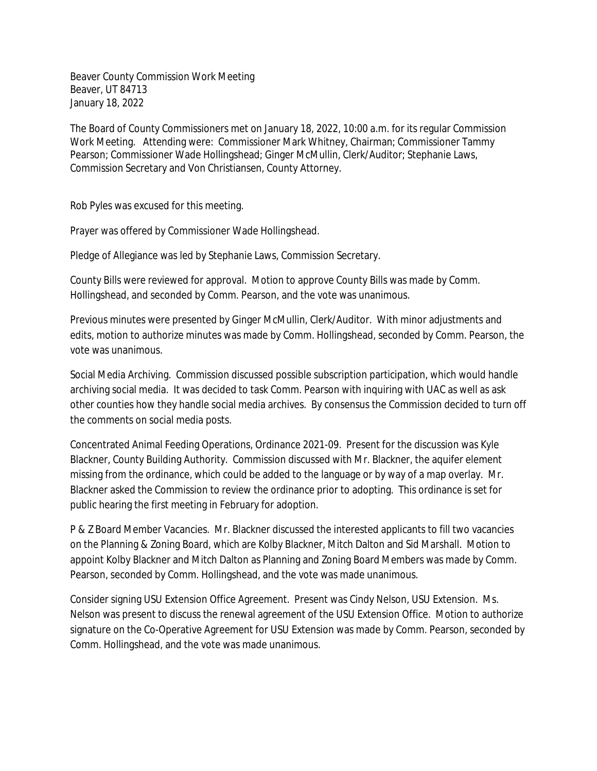Beaver County Commission Work Meeting Beaver, UT 84713 January 18, 2022

The Board of County Commissioners met on January 18, 2022, 10:00 a.m. for its regular Commission Work Meeting. Attending were: Commissioner Mark Whitney, Chairman; Commissioner Tammy Pearson; Commissioner Wade Hollingshead; Ginger McMullin, Clerk/Auditor; Stephanie Laws, Commission Secretary and Von Christiansen, County Attorney.

Rob Pyles was excused for this meeting.

Prayer was offered by Commissioner Wade Hollingshead.

Pledge of Allegiance was led by Stephanie Laws, Commission Secretary.

County Bills were reviewed for approval. Motion to approve County Bills was made by Comm. Hollingshead, and seconded by Comm. Pearson, and the vote was unanimous.

Previous minutes were presented by Ginger McMullin, Clerk/Auditor. With minor adjustments and edits, motion to authorize minutes was made by Comm. Hollingshead, seconded by Comm. Pearson, the vote was unanimous.

Social Media Archiving. Commission discussed possible subscription participation, which would handle archiving social media. It was decided to task Comm. Pearson with inquiring with UAC as well as ask other counties how they handle social media archives. By consensus the Commission decided to turn off the comments on social media posts.

Concentrated Animal Feeding Operations, Ordinance 2021-09. Present for the discussion was Kyle Blackner, County Building Authority. Commission discussed with Mr. Blackner, the aquifer element missing from the ordinance, which could be added to the language or by way of a map overlay. Mr. Blackner asked the Commission to review the ordinance prior to adopting. This ordinance is set for public hearing the first meeting in February for adoption.

P & Z Board Member Vacancies. Mr. Blackner discussed the interested applicants to fill two vacancies on the Planning & Zoning Board, which are Kolby Blackner, Mitch Dalton and Sid Marshall. Motion to appoint Kolby Blackner and Mitch Dalton as Planning and Zoning Board Members was made by Comm. Pearson, seconded by Comm. Hollingshead, and the vote was made unanimous.

Consider signing USU Extension Office Agreement. Present was Cindy Nelson, USU Extension. Ms. Nelson was present to discuss the renewal agreement of the USU Extension Office. Motion to authorize signature on the Co-Operative Agreement for USU Extension was made by Comm. Pearson, seconded by Comm. Hollingshead, and the vote was made unanimous.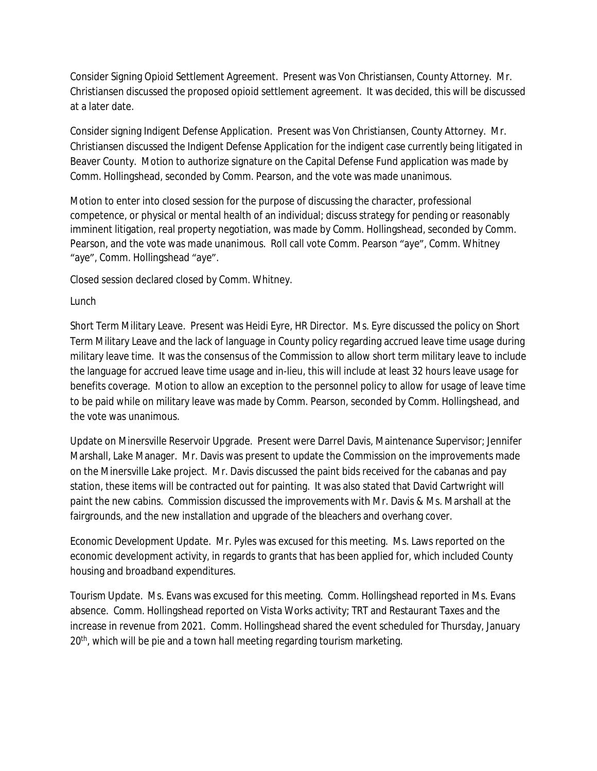Consider Signing Opioid Settlement Agreement. Present was Von Christiansen, County Attorney. Mr. Christiansen discussed the proposed opioid settlement agreement. It was decided, this will be discussed at a later date.

Consider signing Indigent Defense Application. Present was Von Christiansen, County Attorney. Mr. Christiansen discussed the Indigent Defense Application for the indigent case currently being litigated in Beaver County. Motion to authorize signature on the Capital Defense Fund application was made by Comm. Hollingshead, seconded by Comm. Pearson, and the vote was made unanimous.

Motion to enter into closed session for the purpose of discussing the character, professional competence, or physical or mental health of an individual; discuss strategy for pending or reasonably imminent litigation, real property negotiation, was made by Comm. Hollingshead, seconded by Comm. Pearson, and the vote was made unanimous. Roll call vote Comm. Pearson "aye", Comm. Whitney "aye", Comm. Hollingshead "aye".

Closed session declared closed by Comm. Whitney.

## Lunch

Short Term Military Leave. Present was Heidi Eyre, HR Director. Ms. Eyre discussed the policy on Short Term Military Leave and the lack of language in County policy regarding accrued leave time usage during military leave time. It was the consensus of the Commission to allow short term military leave to include the language for accrued leave time usage and in-lieu, this will include at least 32 hours leave usage for benefits coverage. Motion to allow an exception to the personnel policy to allow for usage of leave time to be paid while on military leave was made by Comm. Pearson, seconded by Comm. Hollingshead, and the vote was unanimous.

Update on Minersville Reservoir Upgrade. Present were Darrel Davis, Maintenance Supervisor; Jennifer Marshall, Lake Manager. Mr. Davis was present to update the Commission on the improvements made on the Minersville Lake project. Mr. Davis discussed the paint bids received for the cabanas and pay station, these items will be contracted out for painting. It was also stated that David Cartwright will paint the new cabins. Commission discussed the improvements with Mr. Davis & Ms. Marshall at the fairgrounds, and the new installation and upgrade of the bleachers and overhang cover.

Economic Development Update. Mr. Pyles was excused for this meeting. Ms. Laws reported on the economic development activity, in regards to grants that has been applied for, which included County housing and broadband expenditures.

Tourism Update. Ms. Evans was excused for this meeting. Comm. Hollingshead reported in Ms. Evans absence. Comm. Hollingshead reported on Vista Works activity; TRT and Restaurant Taxes and the increase in revenue from 2021. Comm. Hollingshead shared the event scheduled for Thursday, January 20<sup>th</sup>, which will be pie and a town hall meeting regarding tourism marketing.